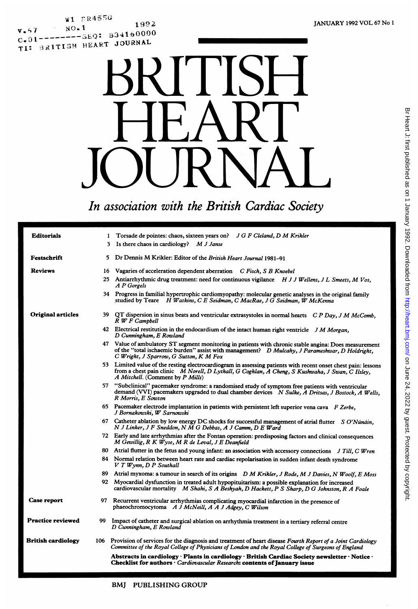,9I?2 ,W F71: R4~5  $.01$  -  $.004$   $R$ <sup>1</sup> $O$ TI: BRITISH HEART JOURNAL SUBSIDIES



# In association with the British Cardiac Society

| <b>Editorials</b>         | 1 Torsade de pointes: chaos, sixteen years on? J G F Cleland, D M Krikler                                                                                                                                                                            |
|---------------------------|------------------------------------------------------------------------------------------------------------------------------------------------------------------------------------------------------------------------------------------------------|
|                           | 3 Is there chaos in cardiology? M J Janse                                                                                                                                                                                                            |
| Festschrift               | 5 Dr Dennis M Krikler: Editor of the British Heart Journal 1981-91                                                                                                                                                                                   |
| <b>Reviews</b>            | Vagaries of acceleration dependent aberration C Fisch, S B Knoebel<br>16                                                                                                                                                                             |
|                           | 25 Antiarrhythmic drug treatment: need for continuous vigilance H J J Wellens, J L Smeets, M Vos,<br>A P Gorgels                                                                                                                                     |
|                           | 34 Progress in familial hypertrophic cardiomyopathy: molecular genetic analyses in the original family<br>studied by Teare H Watkins, C E Seidman, C MacRae, J G Seidman, W McKenna                                                                  |
| <b>Original articles</b>  | 39 QT dispersion in sinus beats and ventricular extrasystoles in normal hearts C P Day, J M McComb,<br>R W F Campbell                                                                                                                                |
|                           | 42 Electrical restitution in the endocardium of the intact human right ventricle J M Morgan,<br>D Cunningham, E Rowland                                                                                                                              |
|                           | Value of ambulatory ST segment monitoring in patients with chronic stable angina: Does measurement<br>47<br>of the "total ischaemic burden" assist with management? D Mulcahy, J Parameshwar, D Holdright,<br>C Wright, J Sparrow, G Sutton, K M Fox |
|                           | 53 Limited value of the resting electrocardiogram in assessing patients with recent onset chest pain: lessons<br>from a chest pain clinic M Norell, D Lythall, G Coghlan, A Cheng, S Kushwaha, J Swan, C Ilsley,<br>A Mitchell. (Comment by P Mills) |
|                           | 57 "Subclinical" pacemaker syndrome: a randomised study of symptom free patients with ventricular<br>demand (VVI) pacemakers upgraded to dual chamber devices N Sulke, A Dritsas, J Bostock, A Wells,<br>R Morris, E Sowton                          |
|                           | 65 Pacemaker electrode implantation in patients with persistent left superior vena cava $F$ Zerbe,<br>J Bornakowski, W Sarnowski                                                                                                                     |
|                           | 67 Catheter ablation by low energy DC shocks for successful management of atrial flutter S O'Núnáin,<br>N J Linker, J F Sneddon, N M G Debbas, A J Camm, D E Ward                                                                                    |
|                           | 72 Early and late arrhythmias after the Fontan operation: predisposing factors and clinical consequences<br>M Gewillig, R K Wyse, M R de Leval, J E Deanfield                                                                                        |
|                           | 80<br>Atrial flutter in the fetus and young infant: an association with accessory connections J Till, C Wren                                                                                                                                         |
|                           | 84 Normal relation between heart rate and cardiac repolarisation in sudden infant death syndrome<br>$V T W ynn, D P$ Southall                                                                                                                        |
|                           | 89<br>Atrial myxoma: a tumour in search of its origins D M Krikler, J Rode, M J Davies, N Woolf, E Moss                                                                                                                                              |
|                           | 92 Myocardial dysfunction in treated adult hypopituitarism: a possible explanation for increased<br>cardiovascular mortality M Shahi, S A Beshyah, D Hackett, P S Sharp, D G Johnston, R A Foale                                                     |
| Case report               | 97 Recurrent ventricular arrhythmias complicating myocardial infarction in the presence of<br>phaeochromocytoma A J McNeill, A A J Adgey, C Wilson                                                                                                   |
| <b>Practice reviewed</b>  | 99<br>Impact of catheter and surgical ablation on arrhythmia treatment in a tertiary referral centre<br>D Cunningham, E Rowland                                                                                                                      |
| <b>British cardiology</b> | 106 Provision of services for the diagnosis and treatment of heart disease Fourth Report of a Joint Cardiology<br>Committee of the Royal College of Physicians of London and the Royal College of Surgeons of England                                |
|                           | Abstracts in cardiology · Plants in cardiology · British Cardiac Society newsletter · Notice ·<br>Checklist for authors · Cardiovascular Research: contents of January issue                                                                         |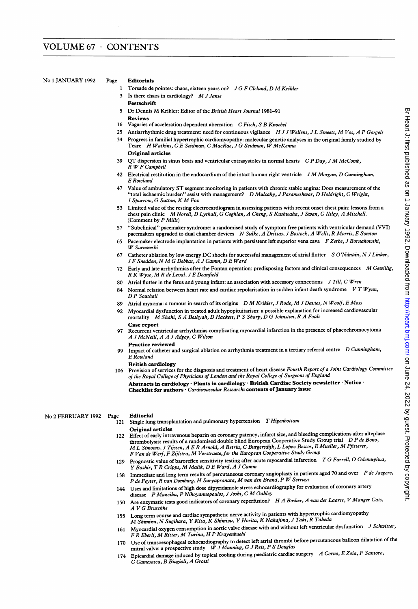### No <sup>1</sup> JANUARY <sup>1992</sup> Page Editorials

- 1 Torsade de pointes: chaos, sixteen years on? J G F Cleland, D M Krikler
- <sup>3</sup> Is there chaos in cardiology? M <sup>J</sup> Janse
- Festschrift
- <sup>5</sup> Dr Dennis M Krikler: Editor of the British Heart Journal 1981-91 Reviews
- 16 Vagaries of acceleration dependent aberration C Fisch, S B Knoebel
- 25 Antiarrhythmic drug treatment: need for continuous vigilance H J J Wellens, J L Smeets, M Vos, A P Gorgels
- 34 Progress in familial hypertrophic cardiomyopathy: molecular genetic analyses in the original family studied by Teare H Watkins, C E Seidman, C MacRae, J G Seidman, W McKenna Original articles
- 39 QT dispersion in sinus beats and ventricular extrasystoles in normal hearts  $CP$  Day, J M McComb, R WF Campbell
- 42 Electrical restitution in the endocardium of the intact human right ventricle  $J M Morgan, D$  Cunningham, E Rowland
- 47 Value of ambulatory ST segment monitoring in patients with chronic stable angina: Does measurement of the "total ischaemic burden" assist with management? D Mulcahy, <sup>J</sup> Parameshwar, D Holdright, C Wright, <sup>J</sup> Sparrow, G Sutton, K M Fox
- 53 Limited value of the resting electrocardiogram in assessing patients with recent onset chest pain: lessons from <sup>a</sup> chest pain clinic MNorell, D Lythall, G Coghlan, A Cheng, <sup>S</sup> Kushwaha, <sup>J</sup> Swan, <sup>C</sup> Ilsley, <sup>A</sup> Mitchell. (Comment by P Mills)
- <sup>57</sup> "Subclinical" pacemaker syndrome: <sup>a</sup> randomised study of symptom free patients with ventricular demand (VVI) pacemakers upgraded to dual chamber devices N Sulke, A Dritsas, J Bostock, A Wells, R Morris, E Sowton
- 65 Pacemaker electrode implantation in patients with persistent left superior vena cava F Zerbe, J Bornakowski, W Sarnowski
- 67 Catheter ablation by low energy DC shocks for successful management of atrial flutter  $S O'N$ ináin, N J Linker, <sup>J</sup> <sup>F</sup> Sneddon, NM <sup>G</sup> Debbas, <sup>A</sup> <sup>J</sup> Camm, D <sup>E</sup> Ward
- 72 Early and late arrhythmias after the Fontan operation: predisposing factors and clinical consequences M Gewillig, <sup>R</sup> K Wyse, MR de Leval, <sup>J</sup> <sup>E</sup> Deanfield
- 80 Atrial flutter in the fetus and young infant: an association with accessory connections J Till, C Wren
- 84 Normal relation between heart rate and cardiac repolarisation in sudden infant death syndrome  $V T W ynn$ , D P Southall
- 89 Atrial myxoma: a tumour in search of its origins D M Krikler, J Rode, M J Davies, N Woolf, E Moss
- 92 Myocardial dysfunction in treated adult hypopituitarism: a possible explanation for increased cardiovascular mortality M Shahi, <sup>S</sup> <sup>A</sup> Beshyah, D Hackett, <sup>P</sup> <sup>S</sup> Sharp, D G Johnston, <sup>R</sup> <sup>A</sup> Foale Case report
- 97 Recurrent ventricular arrhythmias complicating myocardial infarction in the presence of phaeochromocytoma A <sup>J</sup> McNeill, A A <sup>J</sup> Adgey, C Wilson
- Practice reviewed
- 99 Impact of catheter and surgical ablation on arrhythmia treatment in a tertiary referral centre D Cunningham, E Rowland
	- British cardiology
- <sup>106</sup> Provision of services for the diagnosis and treatment of heart disease Fourth Report of <sup>a</sup> Joint Cardiology Committee of the Royal College of Physicians of London and the Royal College of Surgeons of England Abstracts in cardiology · Plants in cardiology · British Cardiac Society newsletter · Notice · Checklist for authors · Cardiovascular Research: contents of January issue

## No <sup>2</sup> FEBRUARY <sup>1992</sup> Page Editorial

- Single lung transplantation and pulmonary hypertension T Higenbottam
- Original articles 122 Effect of early intravenous heparin on coronary patency, infarct size, and bleeding complications after alteplase thrombolysis: results of a randomised double blind European Cooperative Study Group trial D P de Bono, ML Simoons, <sup>J</sup> Tijssen, <sup>A</sup> <sup>E</sup> <sup>R</sup> Arnold, <sup>A</sup> Betriu, <sup>C</sup> Burgersdijk, <sup>L</sup> Lopez Bescos, <sup>E</sup> Mueller, M Pfisterer, <sup>F</sup> Van de Werf, <sup>F</sup> Zijlstra, M Verstraete, for the European Cooperative Study Group
- 129 Prognostic value of baroreflex sensitivity testing after acute myocardial infarction T G Farrell, O Odemuyiwa, <sup>Y</sup> Bashir, <sup>T</sup> <sup>R</sup> Cripps, M Malik, D <sup>E</sup> Ward, A <sup>J</sup> Camm
- 138 Immediate and long term results of percutaneous coronary angioplasty in patients aged 70 and over P de Jaegere, <sup>P</sup> de Feyter, <sup>R</sup> van Domburg, H Suryapranata, Mvan den Brand, <sup>P</sup> W Serruys
- 144 Uses and limitations of high dose dipyridamole stress echocardiography for evaluation of coronary artery disease <sup>P</sup> Mazeika, <sup>P</sup> Nihoyannopoulos, <sup>J</sup> Joshi, C M Oakley
- 150 Are enzymatic tests good indicators of coronary reperfusion? H A Bosker, A van der Laarse, V Manger Cats, A V G Bruschke
- <sup>155</sup> Long term course and cardiac sympathetic nerve activity in patients with hypertrophic cardiomyopathy M Shimizu, N Sugihara, Y Kita, K Shimizu, Y Horita, K Nakajima, <sup>J</sup> Taki, <sup>R</sup> Takeda
- 161 Myocardial oxygen consumption in aortic valve disease with and without left ventricular dysfunction J Schwitter, <sup>F</sup> <sup>R</sup> Eberli, M Ritter, M Turina, H<sup>P</sup> Krayenbuehl
- 170 Use of transoesophageal echocardiography to detect left atrial thrombi before percutaneous balloon dilatation of the mitral valve: a prospective study  $WJ$  Manning, G J Reis, P S Douglas
- 174 Epicardial damage induced by topical cooling during paediatric cardiac surgery A Corno, E Zoia, F Santoro, C Camesasca, B Biagioli, A Grossi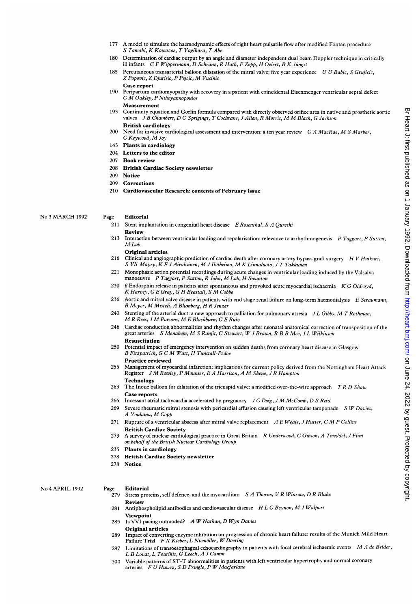- <sup>177</sup> A model to simulate the haemodynamic effects of right heart pulsatile flow after modified Fontan procedure S Tamaki, K Kawazoe, T Yagihara, T Abe
- 180 Determination of cardiac output by an angle and diameter independent dual beam Doppler technique in critically ill infants CF Wippermann, D Schranz, R Huth, F Zepp, H Oelert, B K Jüngst
- 185 Percutaneous transarterial balloon dilatation of the mitral valve: five year experience U U Babic, S Grujicic, <sup>Z</sup> Popovic, <sup>Z</sup> Djurisic, <sup>P</sup> Pejcic, M Vucinic
	- Case report
- <sup>190</sup> Peripartum cardiomyopathy with recovery in a patient with coincidental Eisenmenger ventricular septal defect <sup>C</sup> M Oakley, <sup>P</sup> Nihoyannopoulos Measurement
- 193 Continuity equation and Gorlin formula compared with directly observed orifice area in native and prosthetic aortic valves <sup>J</sup> <sup>B</sup> Chambers, D <sup>C</sup> Sprigings, <sup>T</sup> Cochrane, <sup>J</sup> Allen, <sup>R</sup> Morris, MM Black, <sup>G</sup> Jackson British cardiology
- 200 Need for invasive cardiological assessment and intervention: a ten year review C A MacRae, M S Marber, <sup>C</sup> Keywood, M Joy
- 143 Plants in cardiology
- 204 Letters to the editor
- 207 Book review
- 208 British Cardiac Society newsletter
- 209 Notice
- 209 Corrections
- 210 Cardiovascular Research: contents of February issue

No <sup>3</sup> MARCH <sup>1992</sup>

#### Page Editorial

- 211 Stent implantation in congenital heart disease  $E$  Rosenthal, S A Qureshi Review
- 213 Interaction between ventricular loading and repolarisation: relevance to arrhythmogenesis  $P$  Taggart,  $P$  Sutton, M<sub>Lab</sub>
- Original articles
- 216 Clinical and angiographic prediction of cardiac death after coronary artery bypass graft surgery H V Huikuri, <sup>S</sup> Yli-Mayry, K E <sup>J</sup> Airaksinen, M <sup>J</sup> Ikaheimo, M K Linnaluoto, <sup>J</sup> <sup>T</sup> Takkunen
- 221 Monophasic action potential recordings during acute changes in ventricular loading induced by the Valsalva manoeuvre P Taggart, P Sutton, R John, M Lab, H Swanton
- 230  $\beta$  Endorphin release in patients after spontaneous and provoked acute myocardial ischaemia K G Oldroyd, K Harvey, <sup>C</sup> <sup>E</sup> Gray, G H Beastall, <sup>S</sup> M Cobbe
- 236 Aortic and mitral valve disease in patients with end stage renal failure on long-term haemodialysis E Straumann, B Meyer, M Misteli, A Blumberg, H R Jenzer
- 240 Stenting of the arterial duct: a new approach to palliation for pulmonary atresia J L Gibbs, M T Rothman, M <sup>R</sup> Rees, <sup>J</sup> M Parsons, M<sup>E</sup> Blackburn, <sup>C</sup> <sup>E</sup> Ruiz
- 246 Cardiac conduction abnormalities and rhythm changes after neonatal anatomical correction of transposition of the great arteries <sup>S</sup> Menahem, M <sup>S</sup> Ranjit, <sup>C</sup> Stewart, W<sup>J</sup> Brawn, <sup>R</sup> <sup>B</sup> <sup>B</sup> Mee, <sup>J</sup> <sup>L</sup> Wilkinson Resuscitation
- 250 Potential impact of emergency intervention on sudden deaths from coronary heart disease in Glasgow <sup>B</sup> Fitzpatrick, G <sup>C</sup> M Watt, H Tunstall-Pedoe
	- Practice reviewed
- 255 Management of myocardial infarction: implications for current policy derived from the Nottingham Heart Attack Register <sup>J</sup> M Rowley, <sup>P</sup> Mounser, <sup>E</sup> <sup>A</sup> Harrison, <sup>A</sup> M Skene, <sup>J</sup> <sup>R</sup> Hampton Technology
- 263 The Inoue balloon for dilatation of the tricuspid valve: a modified over-the-wire approach T R D Shaw Case reports
- 266 Incessant atrial tachycardia accelerated by pregnancy  $J C D O i g, J M M c Comb, D S Reid$
- 269 Severe rheumatic mitral stenosis with pericardial effusion causing left ventricular tamponade S W Davies, <sup>A</sup> Youhana, M Copp
- 271 Rupture of a ventricular abscess after mitral valve replacement  $A E Weale, J Hutter, C M P Collins$ British Cardiac Society
- 273 A survey of nuclear cardiological practice in Great Britain R Underwood, C Gibson, A Tweddel, J Flint on behalf of the British Nuclear Cardiology Group
- 235 Plants in cardiology
- 278 British Cardiac Society newsletter
- 278 Notice

No 4 APRIL 1992

#### Page Editorial

- 279 Stress proteins, self defence, and the myocardium S A Thorne, V R Winrow, D R Blake Review
- 281 Antiphospholipid antibodies and cardiovascular disease HLC Beynon, M J Walport
- 285 Is VVI pacing outmoded? A W Nathan, D Wyn Davies Viewpoint Original articles
- 289 Impact of converting enzyme inhibition on progression of chronic heart failure: results of the Munich Mild Heart Failure Trial F X Kleber, L Niemöller, W Doering
- 297 Limitations of transoesophageal echocardiography in patients with focal cerebral ischaemic events  $MA$  de Belder, L B Lovat, L Tourikis, G Leech, A J Camm
- 304 Variable patterns of ST-T abnormalities in patients with left ventricular hypertrophy and normal coronary arteries F U Huwez, S D Pringle, P W Macfarlane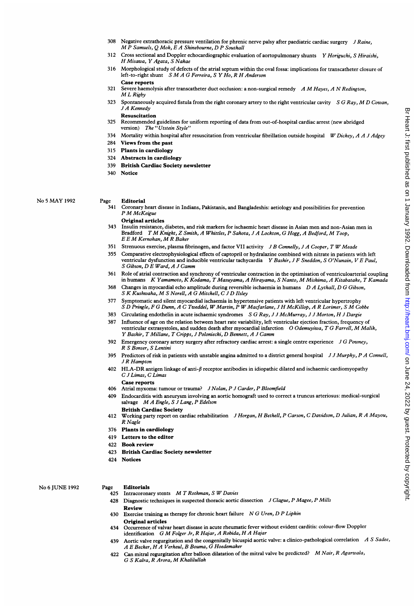- 308 Negative extrathoracic pressure ventilation for phrenic nerve palsy after paediatric cardiac surgery  $J$  Raine, M <sup>P</sup> Samuels, Q Mok, <sup>E</sup> A Shinebourne, D <sup>P</sup> Southall
- 312 Cross sectional and Doppler echocardiographic evaluation of aortopulmonary shunts Y Horiguchi, S Hiraishi, HMisawa, Y Agata, <sup>S</sup> Nakae
- 316 Morphological study of defects of the atrial septum within the oval fossa: implications for transcatheter closure of left-to-right shunt S M A G Ferreira, S Y Ho, R H Anderson Case reports
- 321 Severe haemolysis after transcatheter duct occlusion: a non-surgical remedy  $A$  M Hayes,  $A$  N Redington, ML Rigby
- 323 Spontaneously acquired fistula from the right coronary artery to the right ventricular cavity  $S G Ray, MD Cowan$ , J A Kennedy Resuscitation
- 325 Recommended guidelines for uniform reporting of data from out-of-hospital cardiac arrest (new abridged version) The "Utstein Style"
- 334 Mortality within hospital after resuscitation from ventricular fibrillation outside hospital W Dickey, A A J Adgey
- 284 Views from the past
- 315 Plants in cardiology
- 324 Abstracts in cardiology
- 339 British Cardiac Society newsletter
- 340 Notice

#### No <sup>5</sup> MAY <sup>1992</sup>

- Page Editorial<br>341 Coronary
	- Coronary heart disease in Indians, Pakistanis, and Bangladeshis: aetiology and possibilities for prevention <sup>P</sup> M McKeigue
	- Original articles
	- 343 Insulin resistance, diabetes, and risk markers for ischaemic heart disease in Asian men and non-Asian men in Bradford <sup>T</sup> M Knight, <sup>Z</sup> Smith, <sup>A</sup> Whittles, <sup>P</sup> Sahota, <sup>J</sup> <sup>A</sup> Lockton, G Hogg, A Bedford, M Toop, E E M Kernohan, M R Baker
	- 351 Strenuous exercise, plasma fibrinogen, and factor VII activity J B Connelly, J A Cooper, T W Meade
	- 355 Comparative electrophysiological effects of captopril or hydralazine combined with nitrate in patients with left ventricular dysfunction and inducible ventricular tachycardia Y Bashir, J F Sneddon, S O'Nunain, V E Paul, S Gibson, D E Ward, A J Camm
	- 361 Role of atrial contraction and synchrony of ventricular contraction in the optimisation of ventriculoarterial coupling in humans K Yamamoto, K Kodama, <sup>T</sup> Masuyama, A Hirayama, <sup>S</sup> Nanto, MMishima, A Kitabatake, <sup>T</sup> Kamada
	- <sup>368</sup> Changes in myocardial echo amplitude during reversible ischaemia in humans D A Lythall, D G Gibson, <sup>S</sup> K Kushwaha, M <sup>S</sup> Norell, <sup>A</sup> G Mitchell, <sup>C</sup> <sup>J</sup> D Ilsley
	- 377 Symptomatic and silent myocardial ischaemia in hypertensive patients with left ventricular hypertrophy S D Pringle, F G Dunn, A C Tweddel, W Martin, P W Macfarlane, J H McKillop, A R Lorimer, S M Cobbe
	- 383 Circulating endothelin in acute ischaemic syndromes S G Ray, J J McMurray, J J Morton, H J Dargie
	- 387 Influence of age on the relation between heart rate variability, left ventricular ejection fraction, frequency of ventricular extrasystoles, and sudden death after myocardial infarction  $O$  Odemuyiwa, T G Farrell, M Malik, Y Bashir, T Millane, T Cripps, J Poloniecki, D Bennett, A J Camm
	- 392 Emergency coronary artery surgery after refractory cardiac arrest: a single centre experience  $J G$  Powney, R S Bonser, S Lentini
	- 395 Predictors of risk in patients with unstable angina admitted to a district general hospital  $JJMurphy, PA Comell,$ J R Hampton
	- 402 HLA-DR antigen linkage of anti- $\beta$  receptor antibodies in idiopathic dilated and ischaemic cardiomyopathy C J Limas, C Limas Case reports
	- 406 Atrial myxoma: tumour or trauma? J Nolan, P J Carder, P Bloomfield
	- 409 Endocarditis with aneurysm involving an aortic homograft used to correct a truncus arteriosus: medical-surgical salvage MA Engle, <sup>S</sup> <sup>J</sup> Lang, <sup>P</sup> Edelson
	- British Cardiac Society 412 Working party report on cardiac rehabilitation J Horgan, H Bethell, P Carson, C Davidson, D Julian, R A Mayou, R Nagle
	- 376 Plants in cardiology
	- 419 Letters to the editor
	- 422 Book review
	- 423 British Cardiac Society newsletter
	- 424 Notices

#### No <sup>6</sup> JUNE <sup>1992</sup>

### Page Editorials

- 425 Intracoronary stents  $M$  T Rothman, S W Davies
- 428 Diagnostic techniques in suspected thoracic aortic dissection J Clague, P Magee, P Mills Review
- 430 Exercise training as therapy for chronic heart failure N G Uren, D P Lipkin Original articles
- 434 Occurrence of valvar heart disease in acute rheumatic fever without evident carditis: colour-flow Doppler identification G M Folger Jr, <sup>R</sup> Hajar, A Robida, H <sup>A</sup> Hajar
- 439 Aortic valve regurgitation and the congenitally bicuspid aortic valve: a clinico-pathological correlation  $A S Sadee$ , A E Becker, HA Verheul, B Bouma, G Hoedemaker
- 422 Can mitral regurgitation after balloon dilatation of the mitral valve be predicted? M Nair, R Agarwala, G <sup>S</sup> Kalra, <sup>R</sup> Arora, M Khalilullah